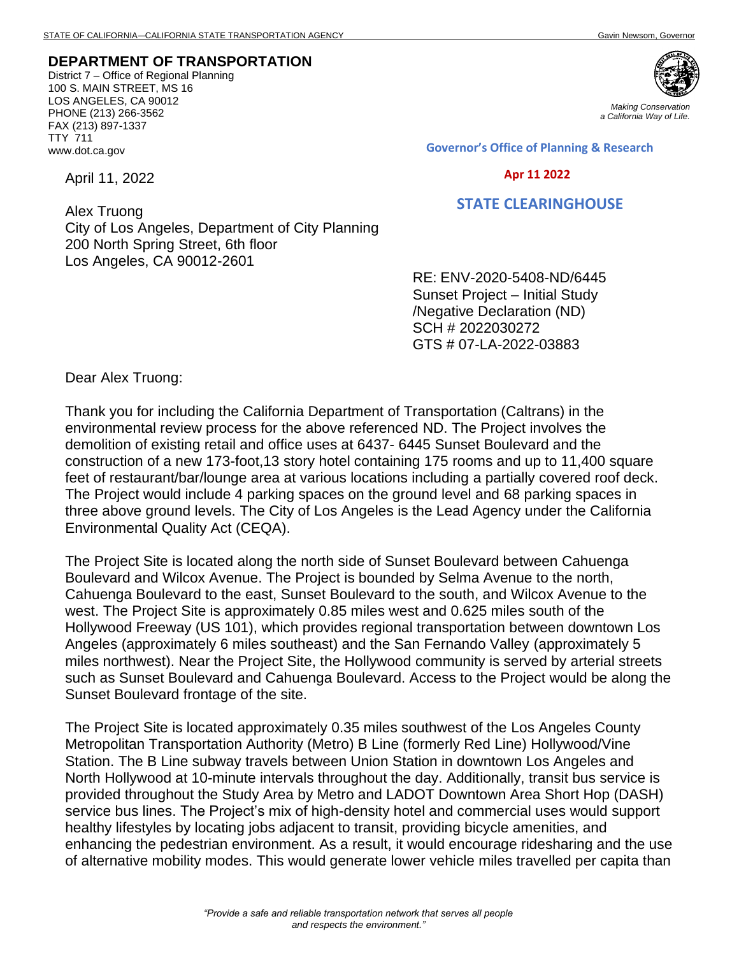## **DEPARTMENT OF TRANSPORTATION**

District 7 – Office of Regional Planning 100 S. MAIN STREET, MS 16 LOS ANGELES, CA 90012 PHONE (213) 266-3562 FAX (213) 897-1337 TTY 711 www.dot.ca.gov

April 11, 2022



*Making Conservation a California Way of Life.*

**Governor's Office of Planning & Research**

## **Apr 11 2022**

## **STATE CLEARINGHOUSE**

Alex Truong City of Los Angeles, Department of City Planning 200 North Spring Street, 6th floor Los Angeles, CA 90012-2601

RE: ENV-2020-5408-ND/6445 Sunset Project – Initial Study /Negative Declaration (ND) SCH # 2022030272 GTS # 07-LA-2022-03883

Dear Alex Truong:

Thank you for including the California Department of Transportation (Caltrans) in the environmental review process for the above referenced ND. The Project involves the demolition of existing retail and office uses at 6437- 6445 Sunset Boulevard and the construction of a new 173-foot,13 story hotel containing 175 rooms and up to 11,400 square feet of restaurant/bar/lounge area at various locations including a partially covered roof deck. The Project would include 4 parking spaces on the ground level and 68 parking spaces in three above ground levels. The City of Los Angeles is the Lead Agency under the California Environmental Quality Act (CEQA).

The Project Site is located along the north side of Sunset Boulevard between Cahuenga Boulevard and Wilcox Avenue. The Project is bounded by Selma Avenue to the north, Cahuenga Boulevard to the east, Sunset Boulevard to the south, and Wilcox Avenue to the west. The Project Site is approximately 0.85 miles west and 0.625 miles south of the Hollywood Freeway (US 101), which provides regional transportation between downtown Los Angeles (approximately 6 miles southeast) and the San Fernando Valley (approximately 5 miles northwest). Near the Project Site, the Hollywood community is served by arterial streets such as Sunset Boulevard and Cahuenga Boulevard. Access to the Project would be along the Sunset Boulevard frontage of the site.

The Project Site is located approximately 0.35 miles southwest of the Los Angeles County Metropolitan Transportation Authority (Metro) B Line (formerly Red Line) Hollywood/Vine Station. The B Line subway travels between Union Station in downtown Los Angeles and North Hollywood at 10-minute intervals throughout the day. Additionally, transit bus service is provided throughout the Study Area by Metro and LADOT Downtown Area Short Hop (DASH) service bus lines. The Project's mix of high-density hotel and commercial uses would support healthy lifestyles by locating jobs adjacent to transit, providing bicycle amenities, and enhancing the pedestrian environment. As a result, it would encourage ridesharing and the use of alternative mobility modes. This would generate lower vehicle miles travelled per capita than